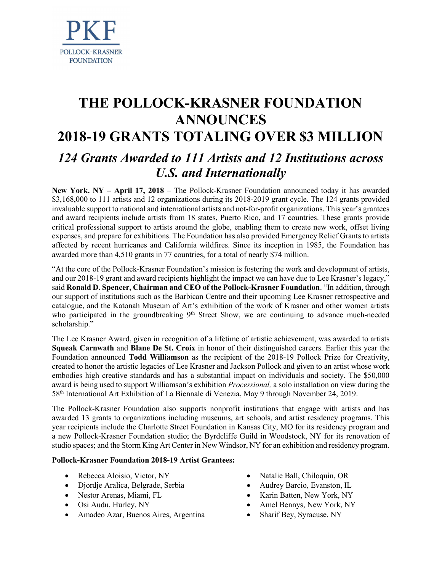

# THE POLLOCK-KRASNER FOUNDATION ANNOUNCES 2018-19 GRANTS TOTALING OVER \$3 MILLION 124 Grants Awarded to 111 Artists and 12 Institutions across U.S. and Internationally

New York, NY – April 17, 2018 – The Pollock-Krasner Foundation announced today it has awarded \$3,168,000 to 111 artists and 12 organizations during its 2018-2019 grant cycle. The 124 grants provided invaluable support to national and international artists and not-for-profit organizations. This year's grantees and award recipients include artists from 18 states, Puerto Rico, and 17 countries. These grants provide critical professional support to artists around the globe, enabling them to create new work, offset living expenses, and prepare for exhibitions. The Foundation has also provided Emergency Relief Grants to artists affected by recent hurricanes and California wildfires. Since its inception in 1985, the Foundation has awarded more than 4,510 grants in 77 countries, for a total of nearly \$74 million.

"At the core of the Pollock-Krasner Foundation's mission is fostering the work and development of artists, and our 2018-19 grant and award recipients highlight the impact we can have due to Lee Krasner's legacy," said Ronald D. Spencer, Chairman and CEO of the Pollock-Krasner Foundation. "In addition, through our support of institutions such as the Barbican Centre and their upcoming Lee Krasner retrospective and catalogue, and the Katonah Museum of Art's exhibition of the work of Krasner and other women artists who participated in the groundbreaking 9<sup>th</sup> Street Show, we are continuing to advance much-needed scholarship."

The Lee Krasner Award, given in recognition of a lifetime of artistic achievement, was awarded to artists Squeak Carnwath and Blane De St. Croix in honor of their distinguished careers. Earlier this year the Foundation announced Todd Williamson as the recipient of the 2018-19 Pollock Prize for Creativity, created to honor the artistic legacies of Lee Krasner and Jackson Pollock and given to an artist whose work embodies high creative standards and has a substantial impact on individuals and society. The \$50,000 award is being used to support Williamson's exhibition *Processional*, a solo installation on view during the 58th International Art Exhibition of La Biennale di Venezia, May 9 through November 24, 2019.

The Pollock-Krasner Foundation also supports nonprofit institutions that engage with artists and has awarded 13 grants to organizations including museums, art schools, and artist residency programs. This year recipients include the Charlotte Street Foundation in Kansas City, MO for its residency program and a new Pollock-Krasner Foundation studio; the Byrdcliffe Guild in Woodstock, NY for its renovation of studio spaces; and the Storm King Art Center in New Windsor, NY for an exhibition and residency program.

### Pollock-Krasner Foundation 2018-19 Artist Grantees:

- Rebecca Aloisio, Victor, NY
- Djordje Aralica, Belgrade, Serbia
- Nestor Arenas, Miami, FL
- Osi Audu, Hurley, NY
- Amadeo Azar, Buenos Aires, Argentina
- Natalie Ball, Chiloquin, OR
- Audrey Barcio, Evanston, IL
- Karin Batten, New York, NY
- Amel Bennys, New York, NY
- Sharif Bey, Syracuse, NY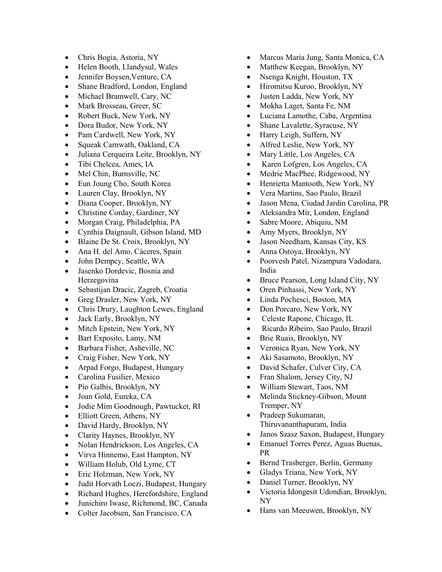- Chris Bogia, Astoria, NY
- Helen Booth, Llandysul, Wales
- Jennifer Boysen,Venture, CA
- Shane Bradford, London, England
- Michael Bramwell, Cary, NC
- Mark Brosseau, Greer, SC
- Robert Buck, New York, NY
- Dora Budor, New York, NY
- Pam Cardwell, New York, NY
- Squeak Carnwath, Oakland, CA
- Juliana Cerqueira Leite, Brooklyn, NY
- Tibi Chelcea, Ames, IA
- Mel Chin, Burnsville, NC
- Eun Joung Cho, South Korea
- Lauren Clay, Brooklyn, NY
- Diana Cooper, Brooklyn, NY
- Christine Corday, Gardiner, NY
- Morgan Craig, Philadelphia, PA
- Cynthia Daignault, Gibson Island, MD
- Blaine De St. Croix, Brooklyn, NY
- Ana H. del Amo, Cáceres, Spain
- John Dempcy, Seattle, WA
- Jasenko Dordevic, Bosnia and Herzegovina
- Sebastijan Dracic, Zagreb, Croatia
- Greg Drasler, New York, NY
- Chris Drury, Laughton Lewes, England
- Jack Early, Brooklyn, NY
- Mitch Epstein, New York, NY
- Bart Exposito, Lamy, NM
- Barbara Fisher, Asheville, NC
- Craig Fisher, New York, NY
- Arpad Forgo, Budapest, Hungary
- Carolina Fusilier, Mexico
- Pio Galbis, Brooklyn, NY
- Joan Gold, Eureka, CA
- Jodie Mim Goodnough, Pawtucket, RI
- Elliott Green, Athens, NY
- David Hardy, Brooklyn, NY
- Clarity Haynes, Brooklyn, NY
- Nolan Hendrickson, Los Angeles, CA
- Virva Hinnemo, East Hampton, NY
- William Holub, Old Lyme, CT
- Eric Holzman, New York, NY
- Judit Horvath Loczi, Budapest, Hungary
- Richard Hughes, Herefordshire, England
- Junichiro Iwase, Richmond, BC, Canada
- Colter Jacobsen, San Francisco, CA
- Marcus Maria Jung, Santa Monica, CA
- Matthew Keegan, Brooklyn, NY
- Nsenga Knight, Houston, TX
- Hiromitsu Kuroo, Brooklyn, NY
- Justen Ladda, New York, NY
- Mokha Laget, Santa Fe, NM
- Luciana Lamothe, Caba, Argentina
- Shane Lavalette, Syracuse, NY
- Harry Leigh, Suffern, NY
- Alfred Leslie, New York, NY
- Mary Little, Los Angeles, CA
- Karen Lofgren, Los Angeles, CA
- Medrie MacPhee, Ridgewood, NY
- Henrietta Mantooth, New York, NY
- Vera Martins, Sao Paulo, Brazil
- Jason Mena, Ciudad Jardin Carolina, PR
- Aleksandra Mir, London, England
- Sabre Moore, Abiquiu, NM
- Amy Myers, Brooklyn, NY
- Jason Needham, Kansas City, KS
- Anna Ostoya, Brooklyn, NY
- Poorvesh Patel, Nizampura Vadodara, India
- Bruce Pearson, Long Island City, NY
- Oren Pinhassi, New York, NY
- Linda Pochesci, Boston, MA
- Don Porcaro, New York, NY
- Celeste Rapone, Chicago, IL
- Ricardo Ribeiro, Sao Paulo, Brazil
- Brie Ruais, Brooklyn, NY
- Veronica Ryan, New York, NY
- Aki Sasamoto, Brooklyn, NY
- David Schafer, Culver City, CA
- Fran Shalom, Jersey City, NJ
- William Stewart, Taos, NM
- Melinda Stickney-Gibson, Mount Tremper, NY
- Pradeep Sukumaran, Thiruvananthapuram, India
- Janos Szasz Saxon, Budapest, Hungary
- Emanuel Torres Perez, Aguas Buenas, PR
- Bernd Trasberger, Berlin, Germany
- Gladys Triana, New York, NY
- Daniel Turner, Brooklyn, NY
- Victoria Idongesit Udondian, Brooklyn, NY
- Hans van Meeuwen, Brooklyn, NY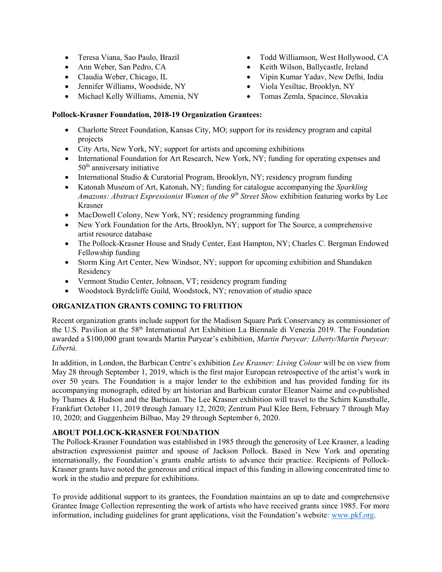- Teresa Viana, Sao Paulo, Brazil
- Ann Weber, San Pedro, CA
- Claudia Weber, Chicago, IL
- Jennifer Williams, Woodside, NY
- Michael Kelly Williams, Amenia, NY
- Todd Williamson, West Hollywood, CA
- Keith Wilson, Ballycastle, Ireland
- Vipin Kumar Yadav, New Delhi, India
- Viola Yesiltac, Brooklyn, NY
- Tomas Zemla, Spacince, Slovakia

## Pollock-Krasner Foundation, 2018-19 Organization Grantees:

- Charlotte Street Foundation, Kansas City, MO; support for its residency program and capital projects
- City Arts, New York, NY; support for artists and upcoming exhibitions
- International Foundation for Art Research, New York, NY; funding for operating expenses and 50th anniversary initiative
- International Studio & Curatorial Program, Brooklyn, NY; residency program funding
- Katonah Museum of Art, Katonah, NY; funding for catalogue accompanying the Sparkling Amazons: Abstract Expressionist Women of the  $9<sup>th</sup>$  Street Show exhibition featuring works by Lee Krasner
- MacDowell Colony, New York, NY; residency programming funding
- New York Foundation for the Arts, Brooklyn, NY; support for The Source, a comprehensive artist resource database
- The Pollock-Krasner House and Study Center, East Hampton, NY; Charles C. Bergman Endowed Fellowship funding
- Storm King Art Center, New Windsor, NY; support for upcoming exhibition and Shandaken Residency
- Vermont Studio Center, Johnson, VT; residency program funding
- Woodstock Byrdcliffe Guild, Woodstock, NY; renovation of studio space

## ORGANIZATION GRANTS COMING TO FRUITION

Recent organization grants include support for the Madison Square Park Conservancy as commissioner of the U.S. Pavilion at the 58th International Art Exhibition La Biennale di Venezia 2019. The Foundation awarded a \$100,000 grant towards Martin Puryear's exhibition, Martin Puryear: Liberty/Martin Puryear: Libertà.

In addition, in London, the Barbican Centre's exhibition Lee Krasner: Living Colour will be on view from May 28 through September 1, 2019, which is the first major European retrospective of the artist's work in over 50 years. The Foundation is a major lender to the exhibition and has provided funding for its accompanying monograph, edited by art historian and Barbican curator Eleanor Nairne and co-published by Thames & Hudson and the Barbican. The Lee Krasner exhibition will travel to the Schirn Kunsthalle, Frankfurt October 11, 2019 through January 12, 2020; Zentrum Paul Klee Bern, February 7 through May 10, 2020; and Guggenheim Bilbao, May 29 through September 6, 2020.

### ABOUT POLLOCK-KRASNER FOUNDATION

The Pollock-Krasner Foundation was established in 1985 through the generosity of Lee Krasner, a leading abstraction expressionist painter and spouse of Jackson Pollock. Based in New York and operating internationally, the Foundation's grants enable artists to advance their practice. Recipients of Pollock-Krasner grants have noted the generous and critical impact of this funding in allowing concentrated time to work in the studio and prepare for exhibitions.

To provide additional support to its grantees, the Foundation maintains an up to date and comprehensive Grantee Image Collection representing the work of artists who have received grants since 1985. For more information, including guidelines for grant applications, visit the Foundation's website: www.pkf.org.